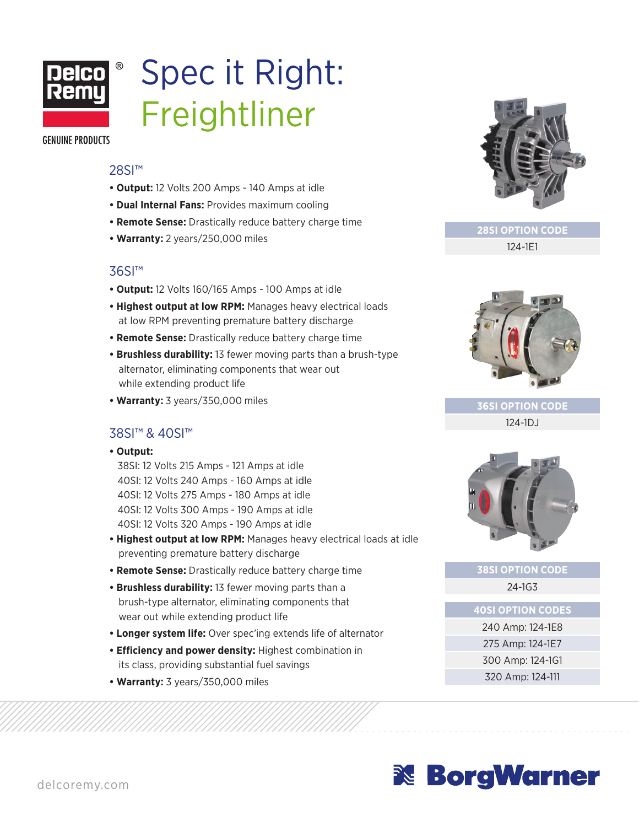

# Spec it Right: Freightliner

**GENUINE PRODUCTS** 

#### 28SI<sup>™</sup>

- **Output:** 12 Volts 200 Amps 140 Amps at idle
- **Dual Internal Fans:** Provides maximum cooling
- **Remote Sense:** Drastically reduce battery charge time
- **Warranty:** 2 years/250,000 miles

### 36SI™

- **Output:** 12 Volts 160/165 Amps 100 Amps at idle
- **Highest output at low RPM:** Manages heavy electrical loads at low RPM preventing premature battery discharge
- **Remote Sense:** Drastically reduce battery charge time
- **Brushless durability:** 13 fewer moving parts than a brush-type alternator, eliminating components that wear out while extending product life
- **Warranty:** 3 years/350,000 miles

### 38SI™ & 40SI™

**• Output:**

38SI: 12 Volts 215 Amps - 121 Amps at idle 40SI: 12 Volts 240 Amps - 160 Amps at idle 40SI: 12 Volts 275 Amps - 180 Amps at idle 40SI: 12 Volts 300 Amps - 190 Amps at idle 40SI: 12 Volts 320 Amps - 190 Amps at idle

- **Highest output at low RPM:** Manages heavy electrical loads at idle preventing premature battery discharge
- **Remote Sense:** Drastically reduce battery charge time
- **Brushless durability:** 13 fewer moving parts than a brush-type alternator, eliminating components that wear out while extending product life
- **Longer system life:** Over spec'ing extends life of alternator
- **Efficiency and power density:** Highest combination in its class, providing substantial fuel savings
- **Warranty:** 3 years/350,000 miles



**28SI OPTION CODE**

124-1E1



**36SI OPTION CODE**

124-1DJ



### **38SI OPTION CODE** 24-1G3

**40SI OPTION CODES**

240 Amp: 124-1E8 275 Amp: 124-1E7 300 Amp: 124-1G1 320 Amp: 124-111